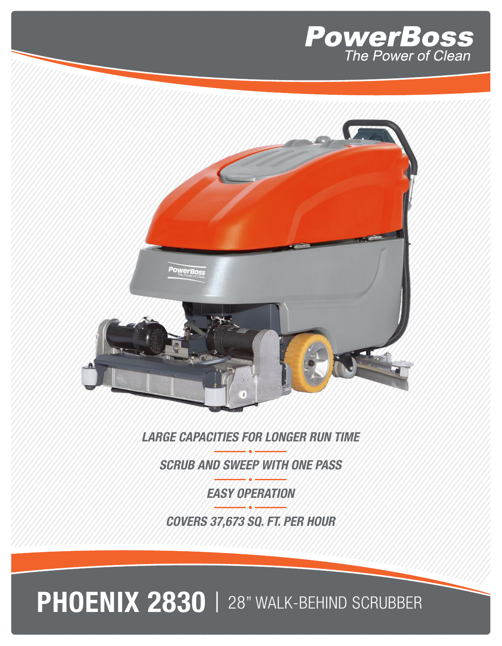



*LARGE CAPACITIES FOR LONGER RUN TIME*

*SCRUB AND SWEEP WITH ONE PASS*

*EASY OPERATION*

*COVERS 37,673 SQ. FT. PER HOUR*

PHOENIX 2830 | 28" WALK-BEHIND SCRUBBER